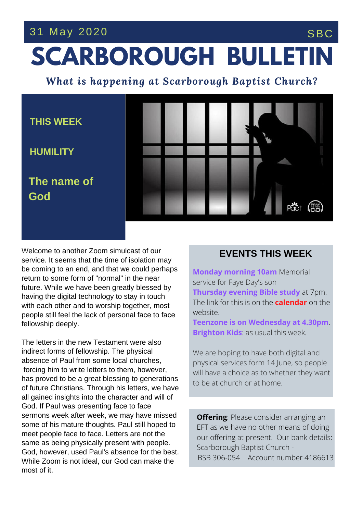## 31 May 2020 SBC

## **SCARBOROUGH BULLETIN**

*What is happening at Scarborough Baptist Church?*



people still feel the lack of personal face to face<br>followabin deeph*:* Welcome to another Zoom simulcast of our service. It seems that the time of isolation may be coming to an end, and that we could perhaps return to some form of "normal" in the near future. While we have been greatly blessed by having the digital technology to stay in touch with each other and to worship together, most fellowship deeply.

The letters in the new Testament were also indirect forms of fellowship. The physical absence of Paul from some local churches, forcing him to write letters to them, however, has proved to be a great blessing to generations of future Christians. Through his letters, we have all gained insights into the character and will of God. If Paul was presenting face to face sermons week after week, we may have missed some of his mature thoughts. Paul still hoped to meet people face to face. Letters are not the same as being physically present with people. God, however, used Paul's absence for the best. While Zoom is not ideal, our God can make the most of it.

## **EVENTS THIS WEEK**

**Monday morning 10am** Memorial service for Faye Day's son **Thursday evening Bible study** at 7pm. The link for this is on the **calendar** on the website.

**Teenzone is on Wednesday at 4.30pm**. **Brighton Kids**: as usual this week.

We are hoping to have both digital and physical services form 14 June, so people will have a choice as to whether they want to be at church or at home.

**Offering**: Please consider arranging an EFT as we have no other means of doing our offering at present. Our bank details: Scarborough Baptist Church - BSB 306-054 Account number 4186613